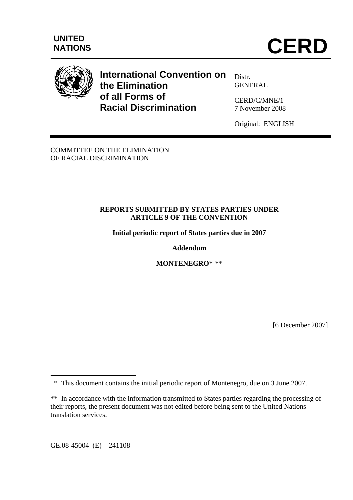

# **International Convention on the Elimination of all Forms of Racial Discrimination**

Distr. **GENERAL** 

CERD/C/MNE/1 7 November 2008

Original: ENGLISH

COMMITTEE ON THE ELIMINATION OF RACIAL DISCRIMINATION

#### **REPORTS SUBMITTED BY STATES PARTIES UNDER ARTICLE 9 OF THE CONVENTION**

**Initial periodic report of States parties due in 2007** 

## **Addendum**

**MONTENEGRO**\* \*\*

[6 December 2007]

GE.08-45004 (E) 241108

 $\overline{a}$ 

 <sup>\*</sup> This document contains the initial periodic report of Montenegro, due on 3 June 2007.

<sup>\*\*</sup> In accordance with the information transmitted to States parties regarding the processing of their reports, the present document was not edited before being sent to the United Nations translation services.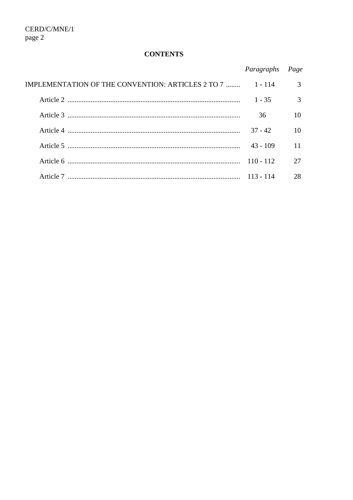## **CONTENTS**

|                                                   | Paragraphs  | Page |
|---------------------------------------------------|-------------|------|
| IMPLEMENTATION OF THE CONVENTION: ARTICLES 2 TO 7 | 1 - 114     | 3    |
|                                                   | $1 - 35$    | 3    |
|                                                   | 36          | 10   |
|                                                   | $37 - 42$   | 10   |
|                                                   | $43 - 109$  | 11   |
|                                                   | $110 - 112$ | 27   |
| Article 7                                         | $113 - 114$ | 28   |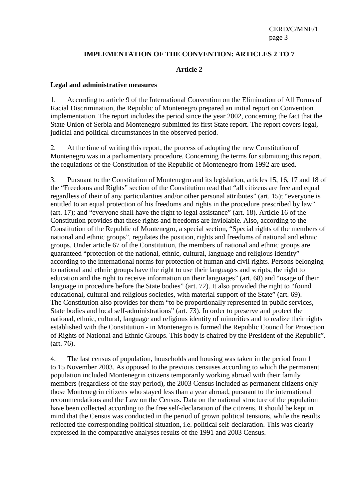#### **IMPLEMENTATION OF THE CONVENTION: ARTICLES 2 TO 7**

#### **Article 2**

#### **Legal and administrative measures**

1. According to article 9 of the International Convention on the Elimination of All Forms of Racial Discrimination, the Republic of Montenegro prepared an initial report on Convention implementation. The report includes the period since the year 2002, concerning the fact that the State Union of Serbia and Montenegro submitted its first State report. The report covers legal, judicial and political circumstances in the observed period.

2. At the time of writing this report, the process of adopting the new Constitution of Montenegro was in a parliamentary procedure. Concerning the terms for submitting this report, the regulations of the Constitution of the Republic of Montenegro from 1992 are used.

3. Pursuant to the Constitution of Montenegro and its legislation, articles 15, 16, 17 and 18 of the "Freedoms and Rights" section of the Constitution read that "all citizens are free and equal regardless of their of any particularities and/or other personal attributes" (art. 15); "everyone is entitled to an equal protection of his freedoms and rights in the procedure prescribed by law" (art. 17); and "everyone shall have the right to legal assistance" (art. 18). Article 16 of the Constitution provides that these rights and freedoms are inviolable. Also, according to the Constitution of the Republic of Montenegro, a special section, "Special rights of the members of national and ethnic groups", regulates the position, rights and freedoms of national and ethnic groups. Under article 67 of the Constitution, the members of national and ethnic groups are guaranteed "protection of the national, ethnic, cultural, language and religious identity" according to the international norms for protection of human and civil rights. Persons belonging to national and ethnic groups have the right to use their languages and scripts, the right to education and the right to receive information on their languages" (art. 68) and "usage of their language in procedure before the State bodies" (art. 72). It also provided the right to "found educational, cultural and religious societies, with material support of the State" (art. 69). The Constitution also provides for them "to be proportionally represented in public services, State bodies and local self-administrations" (art. 73). In order to preserve and protect the national, ethnic, cultural, language and religious identity of minorities and to realize their rights established with the Constitution - in Montenegro is formed the Republic Council for Protection of Rights of National and Ethnic Groups. This body is chaired by the President of the Republic". (art. 76).

4. The last census of population, households and housing was taken in the period from 1 to 15 November 2003. As opposed to the previous censuses according to which the permanent population included Montenegrin citizens temporarily working abroad with their family members (regardless of the stay period), the 2003 Census included as permanent citizens only those Montenegrin citizens who stayed less than a year abroad, pursuant to the international recommendations and the Law on the Census. Data on the national structure of the population have been collected according to the free self-declaration of the citizens. It should be kept in mind that the Census was conducted in the period of grown political tensions, while the results reflected the corresponding political situation, i.e. political self-declaration. This was clearly expressed in the comparative analyses results of the 1991 and 2003 Census.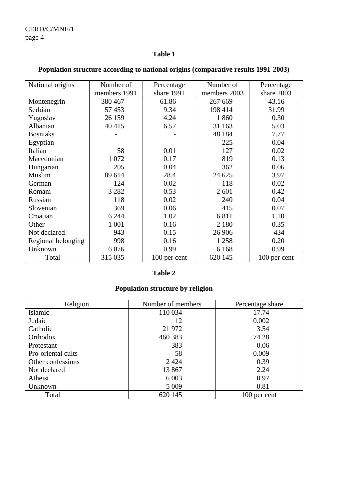## **Table 1**

| National origins   | Number of    | Percentage   | Number of    | Percentage   |
|--------------------|--------------|--------------|--------------|--------------|
|                    | members 1991 | share 1991   | members 2003 | share 2003   |
| Montenegrin        | 380 467      | 61.86        | 267 669      | 43.16        |
| Serbian            | 57 453       | 9.34         | 198 414      | 31.99        |
| Yugoslav           | 26 159       | 4.24         | 1860         | 0.30         |
| Albanian           | 40 415       | 6.57         | 31 163       | 5.03         |
| <b>Bosniaks</b>    |              |              | 48 184       | 7.77         |
| Egyptian           |              |              | 225          | 0.04         |
| Italian            | 58           | 0.01         | 127          | 0.02         |
| Macedonian         | 1 0 7 2      | 0.17         | 819          | 0.13         |
| Hungarian          | 205          | 0.04         | 362          | 0.06         |
| Muslim             | 89 614       | 28.4         | 24 625       | 3.97         |
| German             | 124          | 0.02         | 118          | 0.02         |
| Romani             | 3 2 8 2      | 0.53         | 2 601        | 0.42         |
| Russian            | 118          | 0.02         | 240          | 0.04         |
| Slovenian          | 369          | 0.06         | 415          | 0.07         |
| Croatian           | 6 2 4 4      | 1.02         | 6811         | 1.10         |
| Other              | 1 0 0 1      | 0.16         | 2 1 8 0      | 0.35         |
| Not declared       | 943          | 0.15         | 26 906       | 434          |
| Regional belonging | 998          | 0.16         | 1 258        | 0.20         |
| Unknown            | 6076         | 0.99         | 6 1 6 8      | 0.99         |
| Total              | 315 035      | 100 per cent | 620 145      | 100 per cent |

# **Population structure according to national origins (comparative results 1991-2003)**

# **Table 2**

# **Population structure by religion**

| Religion           | Number of members | Percentage share |
|--------------------|-------------------|------------------|
| Islamic            | 110 034           | 17.74            |
| Judaic             | 12                | 0.002            |
| Catholic           | 21 972            | 3.54             |
| Orthodox           | 460 383           | 74.28            |
| Protestant         | 383               | 0.06             |
| Pro-oriental cults | 58                | 0.009            |
| Other confessions  | 2424              | 0.39             |
| Not declared       | 13 867            | 2.24             |
| Atheist            | 6 0 0 3           | 0.97             |
| Unknown            | 5 0 0 9           | 0.81             |
| Total              | 620 145           | 100 per cent     |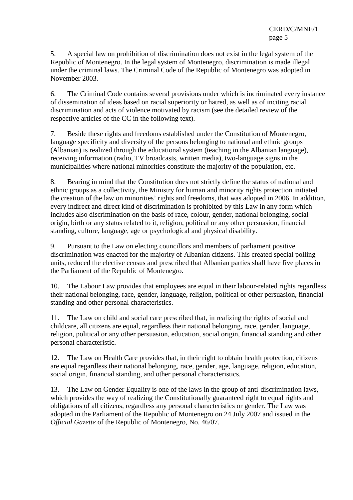5. A special law on prohibition of discrimination does not exist in the legal system of the Republic of Montenegro. In the legal system of Montenegro, discrimination is made illegal under the criminal laws. The Criminal Code of the Republic of Montenegro was adopted in November 2003.

6. The Criminal Code contains several provisions under which is incriminated every instance of dissemination of ideas based on racial superiority or hatred, as well as of inciting racial discrimination and acts of violence motivated by racism (see the detailed review of the respective articles of the CC in the following text).

7. Beside these rights and freedoms established under the Constitution of Montenegro, language specificity and diversity of the persons belonging to national and ethnic groups (Albanian) is realized through the educational system (teaching in the Albanian language), receiving information (radio, TV broadcasts, written media), two-language signs in the municipalities where national minorities constitute the majority of the population, etc.

8. Bearing in mind that the Constitution does not strictly define the status of national and ethnic groups as a collectivity, the Ministry for human and minority rights protection initiated the creation of the law on minorities' rights and freedoms, that was adopted in 2006. In addition, every indirect and direct kind of discrimination is prohibited by this Law in any form which includes also discrimination on the basis of race, colour, gender, national belonging, social origin, birth or any status related to it, religion, political or any other persuasion, financial standing, culture, language, age or psychological and physical disability.

9. Pursuant to the Law on electing councillors and members of parliament positive discrimination was enacted for the majority of Albanian citizens. This created special polling units, reduced the elective census and prescribed that Albanian parties shall have five places in the Parliament of the Republic of Montenegro.

10. The Labour Law provides that employees are equal in their labour-related rights regardless their national belonging, race, gender, language, religion, political or other persuasion, financial standing and other personal characteristics.

11. The Law on child and social care prescribed that, in realizing the rights of social and childcare, all citizens are equal, regardless their national belonging, race, gender, language, religion, political or any other persuasion, education, social origin, financial standing and other personal characteristic.

12. The Law on Health Care provides that, in their right to obtain health protection, citizens are equal regardless their national belonging, race, gender, age, language, religion, education, social origin, financial standing, and other personal characteristics.

13. The Law on Gender Equality is one of the laws in the group of anti-discrimination laws, which provides the way of realizing the Constitutionally guaranteed right to equal rights and obligations of all citizens, regardless any personal characteristics or gender. The Law was adopted in the Parliament of the Republic of Montenegro on 24 July 2007 and issued in the *Official Gazette* of the Republic of Montenegro, No. 46/07.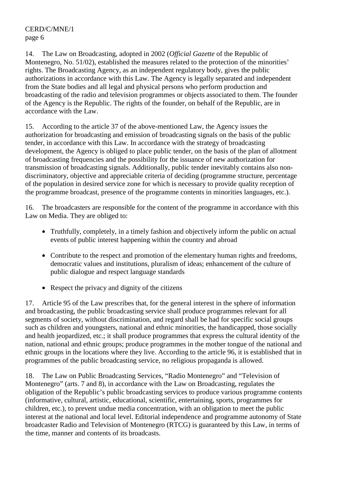14. The Law on Broadcasting, adopted in 2002 (*Official Gazette* of the Republic of Montenegro, No. 51/02), established the measures related to the protection of the minorities' rights. The Broadcasting Agency, as an independent regulatory body, gives the public authorizations in accordance with this Law. The Agency is legally separated and independent from the State bodies and all legal and physical persons who perform production and broadcasting of the radio and television programmes or objects associated to them. The founder of the Agency is the Republic. The rights of the founder, on behalf of the Republic, are in accordance with the Law.

15. According to the article 37 of the above-mentioned Law, the Agency issues the authorization for broadcasting and emission of broadcasting signals on the basis of the public tender, in accordance with this Law. In accordance with the strategy of broadcasting development, the Agency is obliged to place public tender, on the basis of the plan of allotment of broadcasting frequencies and the possibility for the issuance of new authorization for transmission of broadcasting signals. Additionally, public tender inevitably contains also nondiscriminatory, objective and appreciable criteria of deciding (programme structure, percentage of the population in desired service zone for which is necessary to provide quality reception of the programme broadcast, presence of the programme contents in minorities languages, etc.).

16. The broadcasters are responsible for the content of the programme in accordance with this Law on Media. They are obliged to:

- Truthfully, completely, in a timely fashion and objectively inform the public on actual events of public interest happening within the country and abroad
- Contribute to the respect and promotion of the elementary human rights and freedoms, democratic values and institutions, pluralism of ideas; enhancement of the culture of public dialogue and respect language standards
- Respect the privacy and dignity of the citizens

17. Article 95 of the Law prescribes that, for the general interest in the sphere of information and broadcasting, the public broadcasting service shall produce programmes relevant for all segments of society, without discrimination, and regard shall be had for specific social groups such as children and youngsters, national and ethnic minorities, the handicapped, those socially and health jeopardized, etc.; it shall produce programmes that express the cultural identity of the nation, national and ethnic groups; produce programmes in the mother tongue of the national and ethnic groups in the locations where they live. According to the article 96, it is established that in programmes of the public broadcasting service, no religious propaganda is allowed.

18. The Law on Public Broadcasting Services, "Radio Montenegro" and "Television of Montenegro" (arts. 7 and 8), in accordance with the Law on Broadcasting, regulates the obligation of the Republic's public broadcasting services to produce various programme contents (informative, cultural, artistic, educational, scientific, entertaining, sports, programmes for children, etc.), to prevent undue media concentration, with an obligation to meet the public interest at the national and local level. Editorial independence and programme autonomy of State broadcaster Radio and Television of Montenegro (RTCG) is guaranteed by this Law, in terms of the time, manner and contents of its broadcasts.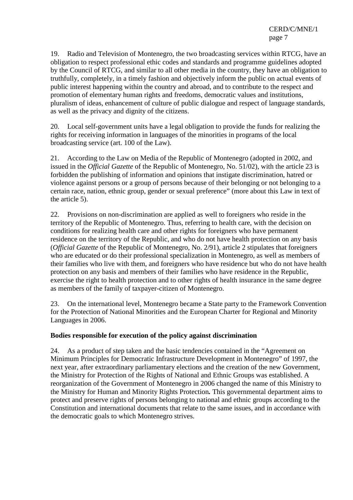19. Radio and Television of Montenegro, the two broadcasting services within RTCG, have an obligation to respect professional ethic codes and standards and programme guidelines adopted by the Council of RTCG, and similar to all other media in the country, they have an obligation to truthfully, completely, in a timely fashion and objectively inform the public on actual events of public interest happening within the country and abroad, and to contribute to the respect and promotion of elementary human rights and freedoms, democratic values and institutions, pluralism of ideas, enhancement of culture of public dialogue and respect of language standards, as well as the privacy and dignity of the citizens.

20. Local self-government units have a legal obligation to provide the funds for realizing the rights for receiving information in languages of the minorities in programs of the local broadcasting service (art. 100 of the Law).

21. According to the Law on Media of the Republic of Montenegro (adopted in 2002, and issued in the *Official Gazette* of the Republic of Montenegro, No. 51/02), with the article 23 is forbidden the publishing of information and opinions that instigate discrimination, hatred or violence against persons or a group of persons because of their belonging or not belonging to a certain race, nation, ethnic group, gender or sexual preference" (more about this Law in text of the article 5).

22. Provisions on non-discrimination are applied as well to foreigners who reside in the territory of the Republic of Montenegro. Thus, referring to health care, with the decision on conditions for realizing health care and other rights for foreigners who have permanent residence on the territory of the Republic, and who do not have health protection on any basis (*Official Gazette* of the Republic of Montenegro, No. 2/91), article 2 stipulates that foreigners who are educated or do their professional specialization in Montenegro, as well as members of their families who live with them, and foreigners who have residence but who do not have health protection on any basis and members of their families who have residence in the Republic, exercise the right to health protection and to other rights of health insurance in the same degree as members of the family of taxpayer-citizen of Montenegro.

23. On the international level, Montenegro became a State party to the Framework Convention for the Protection of National Minorities and the European Charter for Regional and Minority Languages in 2006.

#### **Bodies responsible for execution of the policy against discrimination**

24. As a product of step taken and the basic tendencies contained in the "Agreement on Minimum Principles for Democratic Infrastructure Development in Montenegro" of 1997, the next year, after extraordinary parliamentary elections and the creation of the new Government, the Ministry for Protection of the Rights of National and Ethnic Groups was established. A reorganization of the Government of Montenegro in 2006 changed the name of this Ministry to the Ministry for Human and Minority Rights Protection*.* This governmental department aims to protect and preserve rights of persons belonging to national and ethnic groups according to the Constitution and international documents that relate to the same issues, and in accordance with the democratic goals to which Montenegro strives.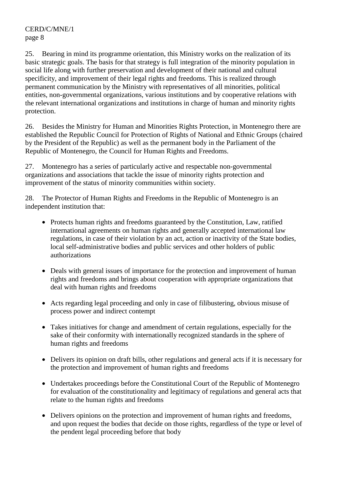25. Bearing in mind its programme orientation, this Ministry works on the realization of its basic strategic goals. The basis for that strategy is full integration of the minority population in social life along with further preservation and development of their national and cultural specificity, and improvement of their legal rights and freedoms. This is realized through permanent communication by the Ministry with representatives of all minorities, political entities, non-governmental organizations, various institutions and by cooperative relations with the relevant international organizations and institutions in charge of human and minority rights protection.

26. Besides the Ministry for Human and Minorities Rights Protection, in Montenegro there are established the Republic Council for Protection of Rights of National and Ethnic Groups (chaired by the President of the Republic) as well as the permanent body in the Parliament of the Republic of Montenegro, the Council for Human Rights and Freedoms.

27. Montenegro has a series of particularly active and respectable non-governmental organizations and associations that tackle the issue of minority rights protection and improvement of the status of minority communities within society.

28. The Protector of Human Rights and Freedoms in the Republic of Montenegro is an independent institution that:

- Protects human rights and freedoms guaranteed by the Constitution, Law, ratified international agreements on human rights and generally accepted international law regulations, in case of their violation by an act, action or inactivity of the State bodies, local self-administrative bodies and public services and other holders of public authorizations
- Deals with general issues of importance for the protection and improvement of human rights and freedoms and brings about cooperation with appropriate organizations that deal with human rights and freedoms
- Acts regarding legal proceeding and only in case of filibustering, obvious misuse of process power and indirect contempt
- Takes initiatives for change and amendment of certain regulations, especially for the sake of their conformity with internationally recognized standards in the sphere of human rights and freedoms
- Delivers its opinion on draft bills, other regulations and general acts if it is necessary for the protection and improvement of human rights and freedoms
- Undertakes proceedings before the Constitutional Court of the Republic of Montenegro for evaluation of the constitutionality and legitimacy of regulations and general acts that relate to the human rights and freedoms
- Delivers opinions on the protection and improvement of human rights and freedoms, and upon request the bodies that decide on those rights, regardless of the type or level of the pendent legal proceeding before that body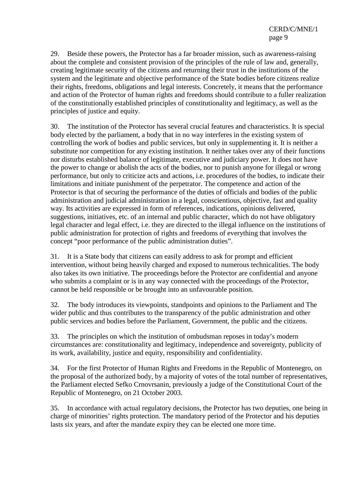29. Beside these powers, the Protector has a far broader mission, such as awareness-raising about the complete and consistent provision of the principles of the rule of law and, generally, creating legitimate security of the citizens and returning their trust in the institutions of the system and the legitimate and objective performance of the State bodies before citizens realize their rights, freedoms, obligations and legal interests. Concretely, it means that the performance and action of the Protector of human rights and freedoms should contribute to a fuller realization of the constitutionally established principles of constitutionality and legitimacy, as well as the principles of justice and equity.

30. The institution of the Protector has several crucial features and characteristics. It is special body elected by the parliament, a body that in no way interferes in the existing system of controlling the work of bodies and public services, but only in supplementing it. It is neither a substitute nor competition for any existing institution. It neither takes over any of their functions nor disturbs established balance of legitimate, executive and judiciary power. It does not have the power to change or abolish the acts of the bodies, nor to punish anyone for illegal or wrong performance, but only to criticize acts and actions, i.e. procedures of the bodies, to indicate their limitations and initiate punishment of the perpetrator. The competence and action of the Protector is that of securing the performance of the duties of officials and bodies of the public administration and judicial administration in a legal, conscientious, objective, fast and quality way. Its activities are expressed in form of references, indications, opinions delivered, suggestions, initiatives, etc. of an internal and public character, which do not have obligatory legal character and legal effect, i.e. they are directed to the illegal influence on the institutions of public administration for protection of rights and freedoms of everything that involves the concept "poor performance of the public administration duties".

31. It is a State body that citizens can easily address to ask for prompt and efficient intervention, without being heavily charged and exposed to numerous technicalities. The body also takes its own initiative. The proceedings before the Protector are confidential and anyone who submits a complaint or is in any way connected with the proceedings of the Protector, cannot be held responsible or be brought into an unfavourable position.

32. The body introduces its viewpoints, standpoints and opinions to the Parliament and The wider public and thus contributes to the transparency of the public administration and other public services and bodies before the Parliament, Government, the public and the citizens.

33. The principles on which the institution of ombudsman reposes in today's modern circumstances are: constitutionality and legitimacy, independence and sovereignty, publicity of its work, availability, justice and equity, responsibility and confidentiality.

34. For the first Protector of Human Rights and Freedoms in the Republic of Montenegro, on the proposal of the authorized body, by a majority of votes of the total number of representatives, the Parliament elected Sefko Crnovrsanin, previously a judge of the Constitutional Court of the Republic of Montenegro, on 21 October 2003.

35. In accordance with actual regulatory decisions, the Protector has two deputies, one being in charge of minorities' rights protection. The mandatory period of the Protector and his deputies lasts six years, and after the mandate expiry they can be elected one more time.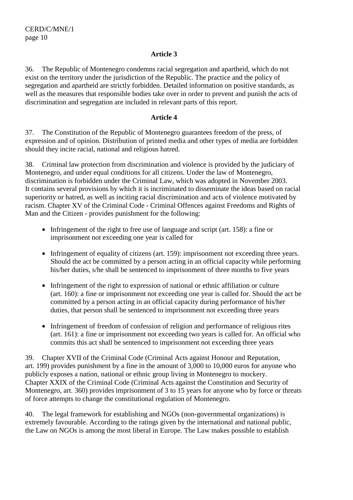#### **Article 3**

36. The Republic of Montenegro condemns racial segregation and apartheid, which do not exist on the territory under the jurisdiction of the Republic. The practice and the policy of segregation and apartheid are strictly forbidden. Detailed information on positive standards, as well as the measures that responsible bodies take over in order to prevent and punish the acts of discrimination and segregation are included in relevant parts of this report.

#### **Article 4**

37. The Constitution of the Republic of Montenegro guarantees freedom of the press, of expression and of opinion. Distribution of printed media and other types of media are forbidden should they incite racial, national and religious hatred.

38. Criminal law protection from discrimination and violence is provided by the judiciary of Montenegro, and under equal conditions for all citizens. Under the law of Montenegro, discrimination is forbidden under the Criminal Law, which was adopted in November 2003. It contains several provisions by which it is incriminated to disseminate the ideas based on racial superiority or hatred, as well as inciting racial discrimination and acts of violence motivated by racism. Chapter XV of the Criminal Code - Criminal Offences against Freedoms and Rights of Man and the Citizen - provides punishment for the following:

- Infringement of the right to free use of language and script (art. 158): a fine or imprisonment not exceeding one year is called for
- Infringement of equality of citizens (art. 159): imprisonment not exceeding three years. Should the act be committed by a person acting in an official capacity while performing his/her duties, s/he shall be sentenced to imprisonment of three months to five years
- Infringement of the right to expression of national or ethnic affiliation or culture (art. 160): a fine or imprisonment not exceeding one year is called for. Should the act be committed by a person acting in an official capacity during performance of his/her duties, that person shall be sentenced to imprisonment not exceeding three years
- Infringement of freedom of confession of religion and performance of religious rites (art. 161): a fine or imprisonment not exceeding two years is called for. An official who commits this act shall be sentenced to imprisonment not exceeding three years

39. Chapter XVII of the Criminal Code (Criminal Acts against Honour and Reputation, art. 199) provides punishment by a fine in the amount of 3,000 to 10,000 euros for anyone who publicly exposes a nation, national or ethnic group living in Montenegro to mockery. Chapter XXIX of the Criminal Code (Criminal Acts against the Constitution and Security of Montenegro, art. 360) provides imprisonment of 3 to 15 years for anyone who by force or threats of force attempts to change the constitutional regulation of Montenegro.

40. The legal framework for establishing and NGOs (non-governmental organizations) is extremely favourable. According to the ratings given by the international and national public, the Law on NGOs is among the most liberal in Europe. The Law makes possible to establish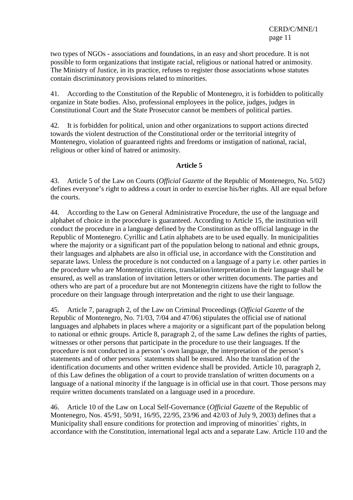two types of NGOs - associations and foundations, in an easy and short procedure. It is not possible to form organizations that instigate racial, religious or national hatred or animosity. The Ministry of Justice, in its practice, refuses to register those associations whose statutes contain discriminatory provisions related to minorities.

41. According to the Constitution of the Republic of Montenegro, it is forbidden to politically organize in State bodies. Also, professional employees in the police, judges, judges in Constitutional Court and the State Prosecutor cannot be members of political parties.

42. It is forbidden for political, union and other organizations to support actions directed towards the violent destruction of the Constitutional order or the territorial integrity of Montenegro, violation of guaranteed rights and freedoms or instigation of national, racial, religious or other kind of hatred or animosity.

#### **Article 5**

43. Article 5 of the Law on Courts (*Official Gazette* of the Republic of Montenegro, No. 5/02) defines everyone's right to address a court in order to exercise his/her rights. All are equal before the courts.

44. According to the Law on General Administrative Procedure, the use of the language and alphabet of choice in the procedure is guaranteed. According to Article 15, the institution will conduct the procedure in a language defined by the Constitution as the official language in the Republic of Montenegro. Cyrillic and Latin alphabets are to be used equally. In municipalities where the majority or a significant part of the population belong to national and ethnic groups, their languages and alphabets are also in official use, in accordance with the Constitution and separate laws. Unless the procedure is not conducted on a language of a party i.e. other parties in the procedure who are Montenegrin citizens, translation/interpretation in their language shall be ensured, as well as translation of invitation letters or other written documents. The parties and others who are part of a procedure but are not Montenegrin citizens have the right to follow the procedure on their language through interpretation and the right to use their language.

45. Article 7, paragraph 2, of the Law on Criminal Proceedings (*Official Gazette* of the Republic of Montenegro, No. 71/03, 7/04 and 47/06) stipulates the official use of national languages and alphabets in places where a majority or a significant part of the population belong to national or ethnic groups. Article 8, paragraph 2, of the same Law defines the rights of parties, witnesses or other persons that participate in the procedure to use their languages. If the procedure is not conducted in a person's own language, the interpretation of the person's statements and of other persons` statements shall be ensured. Also the translation of the identification documents and other written evidence shall be provided. Article 10, paragraph 2, of this Law defines the obligation of a court to provide translation of written documents on a language of a national minority if the language is in official use in that court. Those persons may require written documents translated on a language used in a procedure.

46. Article 10 of the Law on Local Self-Governance (*Official Gazette* of the Republic of Montenegro, Nos. 45/91, 50/91, 16/95, 22/95, 23/96 and 42/03 of July 9, 2003) defines that a Municipality shall ensure conditions for protection and improving of minorities` rights, in accordance with the Constitution, international legal acts and a separate Law. Article 110 and the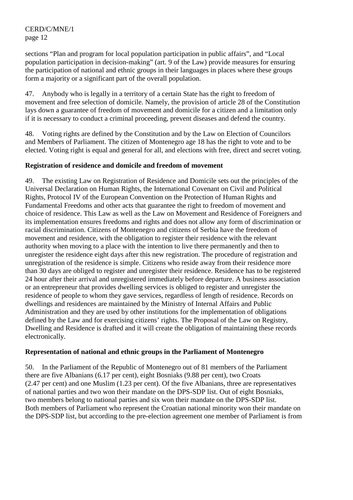sections "Plan and program for local population participation in public affairs", and "Local population participation in decision-making" (art. 9 of the Law) provide measures for ensuring the participation of national and ethnic groups in their languages in places where these groups form a majority or a significant part of the overall population.

47. Anybody who is legally in a territory of a certain State has the right to freedom of movement and free selection of domicile. Namely, the provision of article 28 of the Constitution lays down a guarantee of freedom of movement and domicile for a citizen and a limitation only if it is necessary to conduct a criminal proceeding, prevent diseases and defend the country.

48. Voting rights are defined by the Constitution and by the Law on Election of Councilors and Members of Parliament. The citizen of Montenegro age 18 has the right to vote and to be elected. Voting right is equal and general for all, and elections with free, direct and secret voting.

#### **Registration of residence and domicile and freedom of movement**

49. The existing Law on Registration of Residence and Domicile sets out the principles of the Universal Declaration on Human Rights, the International Covenant on Civil and Political Rights, Protocol IV of the European Convention on the Protection of Human Rights and Fundamental Freedoms and other acts that guarantee the right to freedom of movement and choice of residence. This Law as well as the Law on Movement and Residence of Foreigners and its implementation ensures freedoms and rights and does not allow any form of discrimination or racial discrimination. Citizens of Montenegro and citizens of Serbia have the freedom of movement and residence, with the obligation to register their residence with the relevant authority when moving to a place with the intention to live there permanently and then to unregister the residence eight days after this new registration. The procedure of registration and unregistration of the residence is simple. Citizens who reside away from their residence more than 30 days are obliged to register and unregister their residence. Residence has to be registered 24 hour after their arrival and unregistered immediately before departure. A business association or an entrepreneur that provides dwelling services is obliged to register and unregister the residence of people to whom they gave services, regardless of length of residence. Records on dwellings and residences are maintained by the Ministry of Internal Affairs and Public Administration and they are used by other institutions for the implementation of obligations defined by the Law and for exercising citizens' rights. The Proposal of the Law on Registry, Dwelling and Residence is drafted and it will create the obligation of maintaining these records electronically.

#### **Representation of national and ethnic groups in the Parliament of Montenegro**

50. In the Parliament of the Republic of Montenegro out of 81 members of the Parliament there are five Albanians (6.17 per cent), eight Bosniaks (9.88 per cent), two Croats (2.47 per cent) and one Muslim (1.23 per cent). Of the five Albanians, three are representatives of national parties and two won their mandate on the DPS-SDP list. Out of eight Bosniaks, two members belong to national parties and six won their mandate on the DPS-SDP list. Both members of Parliament who represent the Croatian national minority won their mandate on the DPS-SDP list, but according to the pre-election agreement one member of Parliament is from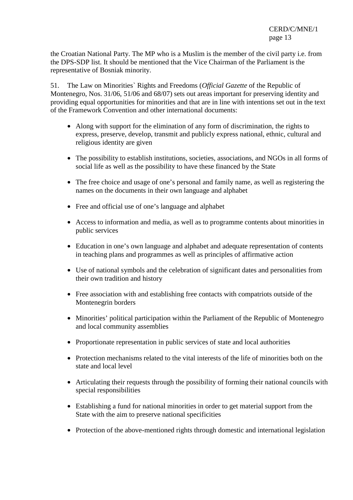the Croatian National Party. The MP who is a Muslim is the member of the civil party i.e. from the DPS-SDP list. It should be mentioned that the Vice Chairman of the Parliament is the representative of Bosniak minority.

51. The Law on Minorities` Rights and Freedoms (*Official Gazette* of the Republic of Montenegro, Nos. 31/06, 51/06 and 68/07) sets out areas important for preserving identity and providing equal opportunities for minorities and that are in line with intentions set out in the text of the Framework Convention and other international documents:

- Along with support for the elimination of any form of discrimination, the rights to express, preserve, develop, transmit and publicly express national, ethnic, cultural and religious identity are given
- The possibility to establish institutions, societies, associations, and NGOs in all forms of social life as well as the possibility to have these financed by the State
- The free choice and usage of one's personal and family name, as well as registering the names on the documents in their own language and alphabet
- Free and official use of one's language and alphabet
- Access to information and media, as well as to programme contents about minorities in public services
- Education in one's own language and alphabet and adequate representation of contents in teaching plans and programmes as well as principles of affirmative action
- Use of national symbols and the celebration of significant dates and personalities from their own tradition and history
- Free association with and establishing free contacts with compatriots outside of the Montenegrin borders
- Minorities' political participation within the Parliament of the Republic of Montenegro and local community assemblies
- Proportionate representation in public services of state and local authorities
- Protection mechanisms related to the vital interests of the life of minorities both on the state and local level
- Articulating their requests through the possibility of forming their national councils with special responsibilities
- Establishing a fund for national minorities in order to get material support from the State with the aim to preserve national specificities
- Protection of the above-mentioned rights through domestic and international legislation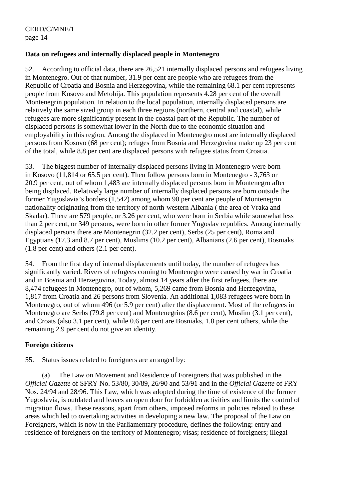#### **Data on refugees and internally displaced people in Montenegro**

52. According to official data, there are 26,521 internally displaced persons and refugees living in Montenegro. Out of that number, 31.9 per cent are people who are refugees from the Republic of Croatia and Bosnia and Herzegovina, while the remaining 68.1 per cent represents people from Kosovo and Metohija. This population represents 4.28 per cent of the overall Montenegrin population. In relation to the local population, internally displaced persons are relatively the same sized group in each three regions (northern, central and coastal), while refugees are more significantly present in the coastal part of the Republic. The number of displaced persons is somewhat lower in the North due to the economic situation and employability in this region. Among the displaced in Montenegro most are internally displaced persons from Kosovo (68 per cent); refuges from Bosnia and Herzegovina make up 23 per cent of the total, while 8.8 per cent are displaced persons with refugee status from Croatia.

53. The biggest number of internally displaced persons living in Montenegro were born in Kosovo (11,814 or 65.5 per cent). Then follow persons born in Montenegro - 3,763 or 20.9 per cent, out of whom 1,483 are internally displaced persons born in Montenegro after being displaced. Relatively large number of internally displaced persons are born outside the former Yugoslavia's borders (1,542) among whom 90 per cent are people of Montenegrin nationality originating from the territory of north-western Albania ( the area of Vraka and Skadar). There are 579 people, or 3.26 per cent, who were born in Serbia while somewhat less than 2 per cent, or 349 persons, were born in other former Yugoslav republics. Among internally displaced persons there are Montenegrin (32.2 per cent), Serbs (25 per cent), Roma and Egyptians (17.3 and 8.7 per cent), Muslims (10.2 per cent), Albanians (2.6 per cent), Bosniaks (1.8 per cent) and others (2.1 per cent).

54. From the first day of internal displacements until today, the number of refugees has significantly varied. Rivers of refugees coming to Montenegro were caused by war in Croatia and in Bosnia and Herzegovina. Today, almost 14 years after the first refugees, there are 8,474 refugees in Montenegro, out of whom, 5,269 came from Bosnia and Herzegovina, 1,817 from Croatia and 26 persons from Slovenia. An additional 1,083 refugees were born in Montenegro, out of whom 496 (or 5.9 per cent) after the displacement. Most of the refugees in Montenegro are Serbs (79.8 per cent) and Montenegrins (8.6 per cent), Muslim (3.1 per cent), and Croats (also 3.1 per cent), while 0.6 per cent are Bosniaks, 1.8 per cent others, while the remaining 2.9 per cent do not give an identity.

#### **Foreign citizens**

55. Status issues related to foreigners are arranged by:

 (a) The Law on Movement and Residence of Foreigners that was published in the *Official Gazette* of SFRY No. 53/80, 30/89, 26/90 and 53/91 and in the *Official Gazette* of FRY Nos. 24/94 and 28/96. This Law, which was adopted during the time of existence of the former Yugoslavia, is outdated and leaves an open door for forbidden activities and limits the control of migration flows. These reasons, apart from others, imposed reforms in policies related to these areas which led to overtaking activities in developing a new law. The proposal of the Law on Foreigners, which is now in the Parliamentary procedure, defines the following: entry and residence of foreigners on the territory of Montenegro; visas; residence of foreigners; illegal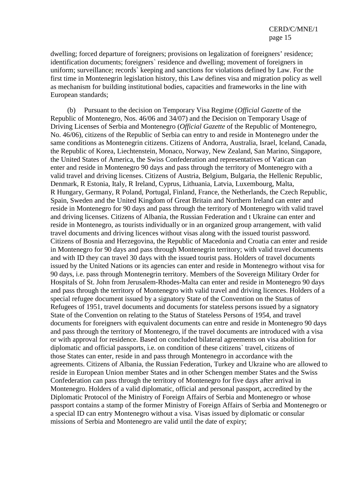dwelling; forced departure of foreigners; provisions on legalization of foreigners' residence; identification documents; foreigners` residence and dwelling; movement of foreigners in uniform; surveillance; records` keeping and sanctions for violations defined by Law. For the first time in Montenegrin legislation history, this Law defines visa and migration policy as well as mechanism for building institutional bodies, capacities and frameworks in the line with European standards;

 (b) Pursuant to the decision on Temporary Visa Regime (*Official Gazette* of the Republic of Montenegro, Nos. 46/06 and 34/07) and the Decision on Temporary Usage of Driving Licenses of Serbia and Montenegro (*Official Gazette* of the Republic of Montenegro, No. 46/06), citizens of the Republic of Serbia can entry to and reside in Montenegro under the same conditions as Montenegrin citizens. Citizens of Andorra, Australia, Israel, Iceland, Canada, the Republic of Korea, Liechtenstein, Monaco, Norway, New Zealand, San Marino, Singapore, the United States of America, the Swiss Confederation and representatives of Vatican can enter and reside in Montenegro 90 days and pass through the territory of Montenegro with a valid travel and driving licenses. Citizens of Austria, Belgium, Bulgaria, the Hellenic Republic, Denmark, R Estonia, Italy, R Ireland, Cyprus, Lithuania, Latvia, Luxembourg, Malta, R Hungary, Germany, R Poland, Portugal, Finland, France, the Netherlands, the Czech Republic, Spain, Sweden and the United Kingdom of Great Britain and Northern Ireland can enter and reside in Montenegro for 90 days and pass through the territory of Montenegro with valid travel and driving licenses. Citizens of Albania, the Russian Federation and t Ukraine can enter and reside in Montenegro, as tourists individually or in an organized group arrangement, with valid travel documents and driving licences without visas along with the issued tourist password. Citizens of Bosnia and Herzegovina, the Republic of Macedonia and Croatia can enter and reside in Montenegro for 90 days and pass through Montenegrin territory; with valid travel documents and with ID they can travel 30 days with the issued tourist pass. Holders of travel documents issued by the United Nations or its agencies can enter and reside in Montenegro without visa for 90 days, i.e. pass through Montenegrin territory. Members of the Sovereign Military Order for Hospitals of St. John from Jerusalem-Rhodes-Malta can enter and reside in Montenegro 90 days and pass through the territory of Montenegro with valid travel and driving licences. Holders of a special refugee document issued by a signatory State of the Convention on the Status of Refugees of 1951, travel documents and documents for stateless persons issued by a signatory State of the Convention on relating to the Status of Stateless Persons of 1954, and travel documents for foreigners with equivalent documents can entre and reside in Montenegro 90 days and pass through the territory of Montenegro, if the travel documents are introduced with a visa or with approval for residence. Based on concluded bilateral agreements on visa abolition for diplomatic and official passports, i.e. on condition of these citizens` travel, citizens of those States can enter, reside in and pass through Montenegro in accordance with the agreements. Citizens of Albania, the Russian Federation, Turkey and Ukraine who are allowed to reside in European Union member States and in other Schengen member States and the Swiss Confederation can pass through the territory of Montenegro for five days after arrival in Montenegro. Holders of a valid diplomatic, official and personal passport, accredited by the Diplomatic Protocol of the Ministry of Foreign Affairs of Serbia and Montenegro or whose passport contains a stamp of the former Ministry of Foreign Affairs of Serbia and Montenegro or a special ID can entry Montenegro without a visa. Visas issued by diplomatic or consular missions of Serbia and Montenegro are valid until the date of expiry;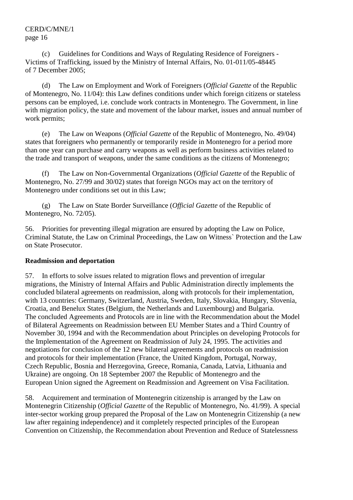(c) Guidelines for Conditions and Ways of Regulating Residence of Foreigners - Victims of Trafficking, issued by the Ministry of Internal Affairs, No. 01-011/05-48445 of 7 December 2005;

 (d) The Law on Employment and Work of Foreigners (*Official Gazette* of the Republic of Montenegro, No. 11/04): this Law defines conditions under which foreign citizens or stateless persons can be employed, i.e. conclude work contracts in Montenegro. The Government, in line with migration policy, the state and movement of the labour market, issues and annual number of work permits;

 (e) The Law on Weapons (*Official Gazette* of the Republic of Montenegro, No. 49/04) states that foreigners who permanently or temporarily reside in Montenegro for a period more than one year can purchase and carry weapons as well as perform business activities related to the trade and transport of weapons, under the same conditions as the citizens of Montenegro;

 (f) The Law on Non-Governmental Organizations (*Official Gazette* of the Republic of Montenegro, No. 27/99 and 30/02) states that foreign NGOs may act on the territory of Montenegro under conditions set out in this Law;

 (g) The Law on State Border Surveillance (*Official Gazette* of the Republic of Montenegro, No. 72/05).

56. Priorities for preventing illegal migration are ensured by adopting the Law on Police, Criminal Statute, the Law on Criminal Proceedings, the Law on Witness` Protection and the Law on State Prosecutor.

#### **Readmission and deportation**

57. In efforts to solve issues related to migration flows and prevention of irregular migrations, the Ministry of Internal Affairs and Public Administration directly implements the concluded bilateral agreements on readmission, along with protocols for their implementation, with 13 countries: Germany, Switzerland, Austria, Sweden, Italy, Slovakia, Hungary, Slovenia, Croatia, and Benelux States (Belgium, the Netherlands and Luxembourg) and Bulgaria. The concluded Agreements and Protocols are in line with the Recommendation about the Model of Bilateral Agreements on Readmission between EU Member States and a Third Country of November 30, 1994 and with the Recommendation about Principles on developing Protocols for the Implementation of the Agreement on Readmission of July 24, 1995. The activities and negotiations for conclusion of the 12 new bilateral agreements and protocols on readmission and protocols for their implementation (France, the United Kingdom, Portugal, Norway, Czech Republic, Bosnia and Herzegovina, Greece, Romania, Canada, Latvia, Lithuania and Ukraine) are ongoing. On 18 September 2007 the Republic of Montenegro and the European Union signed the Agreement on Readmission and Agreement on Visa Facilitation.

58. Acquirement and termination of Montenegrin citizenship is arranged by the Law on Montenegrin Citizenship (*Official Gazette* of the Republic of Montenegro, No. 41/99). A special inter-sector working group prepared the Proposal of the Law on Montenegrin Citizenship (a new law after regaining independence) and it completely respected principles of the European Convention on Citizenship, the Recommendation about Prevention and Reduce of Statelessness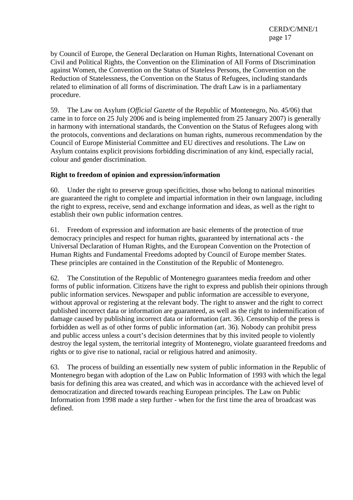by Council of Europe, the General Declaration on Human Rights, International Covenant on Civil and Political Rights, the Convention on the Elimination of All Forms of Discrimination against Women, the Convention on the Status of Stateless Persons, the Convention on the Reduction of Statelessness, the Convention on the Status of Refugees, including standards related to elimination of all forms of discrimination. The draft Law is in a parliamentary procedure.

59. The Law on Asylum (*Official Gazette* of the Republic of Montenegro, No. 45/06) that came in to force on 25 July 2006 and is being implemented from 25 January 2007) is generally in harmony with international standards, the Convention on the Status of Refugees along with the protocols, conventions and declarations on human rights, numerous recommendation by the Council of Europe Ministerial Committee and EU directives and resolutions. The Law on Asylum contains explicit provisions forbidding discrimination of any kind, especially racial, colour and gender discrimination.

#### **Right to freedom of opinion and expression/information**

60. Under the right to preserve group specificities, those who belong to national minorities are guaranteed the right to complete and impartial information in their own language, including the right to express, receive, send and exchange information and ideas, as well as the right to establish their own public information centres.

61. Freedom of expression and information are basic elements of the protection of true democracy principles and respect for human rights, guaranteed by international acts - the Universal Declaration of Human Rights, and the European Convention on the Protection of Human Rights and Fundamental Freedoms adopted by Council of Europe member States. These principles are contained in the Constitution of the Republic of Montenegro.

62. The Constitution of the Republic of Montenegro guarantees media freedom and other forms of public information. Citizens have the right to express and publish their opinions through public information services. Newspaper and public information are accessible to everyone, without approval or registering at the relevant body. The right to answer and the right to correct published incorrect data or information are guaranteed, as well as the right to indemnification of damage caused by publishing incorrect data or information (art. 36). Censorship of the press is forbidden as well as of other forms of public information (art. 36). Nobody can prohibit press and public access unless a court's decision determines that by this invited people to violently destroy the legal system, the territorial integrity of Montenegro, violate guaranteed freedoms and rights or to give rise to national, racial or religious hatred and animosity.

63. The process of building an essentially new system of public information in the Republic of Montenegro began with adoption of the Law on Public Information of 1993 with which the legal basis for defining this area was created, and which was in accordance with the achieved level of democratization and directed towards reaching European principles. The Law on Public Information from 1998 made a step further - when for the first time the area of broadcast was defined.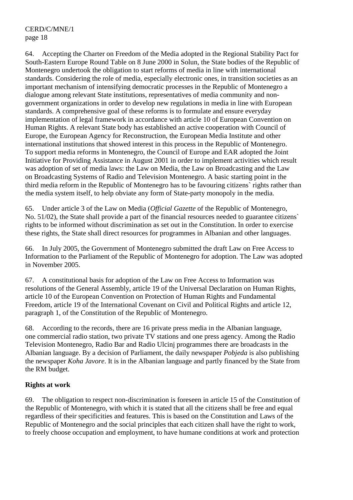64. Accepting the Charter on Freedom of the Media adopted in the Regional Stability Pact for South-Eastern Europe Round Table on 8 June 2000 in Solun, the State bodies of the Republic of Montenegro undertook the obligation to start reforms of media in line with international standards. Considering the role of media, especially electronic ones, in transition societies as an important mechanism of intensifying democratic processes in the Republic of Montenegro a dialogue among relevant State institutions, representatives of media community and nongovernment organizations in order to develop new regulations in media in line with European standards. A comprehensive goal of these reforms is to formulate and ensure everyday implementation of legal framework in accordance with article 10 of European Convention on Human Rights. A relevant State body has established an active cooperation with Council of Europe, the European Agency for Reconstruction, the European Media Institute and other international institutions that showed interest in this process in the Republic of Montenegro. To support media reforms in Montenegro, the Council of Europe and EAR adopted the Joint Initiative for Providing Assistance in August 2001 in order to implement activities which result was adoption of set of media laws: the Law on Media, the Law on Broadcasting and the Law on Broadcasting Systems of Radio and Television Montenegro. A basic starting point in the third media reform in the Republic of Montenegro has to be favouring citizens` rights rather than the media system itself, to help obviate any form of State-party monopoly in the media.

65. Under article 3 of the Law on Media (*Official Gazette* of the Republic of Montenegro, No. 51/02), the State shall provide a part of the financial resources needed to guarantee citizens` rights to be informed without discrimination as set out in the Constitution. In order to exercise these rights, the State shall direct resources for programmes in Albanian and other languages.

66. In July 2005, the Government of Montenegro submitted the draft Law on Free Access to Information to the Parliament of the Republic of Montenegro for adoption. The Law was adopted in November 2005.

67. A constitutional basis for adoption of the Law on Free Access to Information was resolutions of the General Assembly, article 19 of the Universal Declaration on Human Rights, article 10 of the European Convention on Protection of Human Rights and Fundamental Freedom, article 19 of the International Covenant on Civil and Political Rights and article 12, paragraph 1, of the Constitution of the Republic of Montenegro.

68. According to the records, there are 16 private press media in the Albanian language, one commercial radio station, two private TV stations and one press agency. Among the Radio Television Montenegro, Radio Bar and Radio Ulcinj programmes there are broadcasts in the Albanian language. By a decision of Parliament, the daily newspaper *Pobjeda* is also publishing the newspaper *Koha Javore*. It is in the Albanian language and partly financed by the State from the RM budget.

#### **Rights at work**

69. The obligation to respect non-discrimination is foreseen in article 15 of the Constitution of the Republic of Montenegro, with which it is stated that all the citizens shall be free and equal regardless of their specificities and features. This is based on the Constitution and Laws of the Republic of Montenegro and the social principles that each citizen shall have the right to work, to freely choose occupation and employment, to have humane conditions at work and protection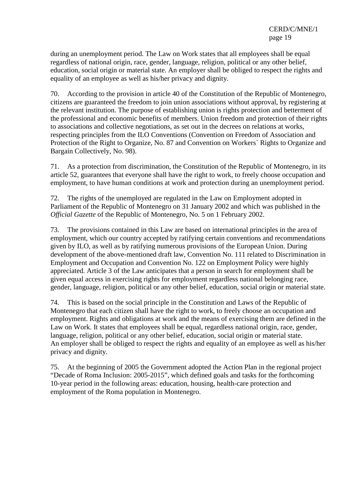during an unemployment period. The Law on Work states that all employees shall be equal regardless of national origin, race, gender, language, religion, political or any other belief, education, social origin or material state. An employer shall be obliged to respect the rights and equality of an employee as well as his/her privacy and dignity.

70. According to the provision in article 40 of the Constitution of the Republic of Montenegro, citizens are guaranteed the freedom to join union associations without approval, by registering at the relevant institution. The purpose of establishing union is rights protection and betterment of the professional and economic benefits of members. Union freedom and protection of their rights to associations and collective negotiations, as set out in the decrees on relations at works, respecting principles from the ILO Conventions (Convention on Freedom of Association and Protection of the Right to Organize, No. 87 and Convention on Workers` Rights to Organize and Bargain Collectively, No. 98).

71. As a protection from discrimination, the Constitution of the Republic of Montenegro, in its article 52, guarantees that everyone shall have the right to work, to freely choose occupation and employment, to have human conditions at work and protection during an unemployment period.

72. The rights of the unemployed are regulated in the Law on Employment adopted in Parliament of the Republic of Montenegro on 31 January 2002 and which was published in the *Official Gazette* of the Republic of Montenegro, No. 5 on 1 February 2002.

73. The provisions contained in this Law are based on international principles in the area of employment, which our country accepted by ratifying certain conventions and recommendations given by ILO, as well as by ratifying numerous provisions of the European Union. During development of the above-mentioned draft law, Convention No. 111 related to Discrimination in Employment and Occupation and Convention No. 122 on Employment Policy were highly appreciated. Article 3 of the Law anticipates that a person in search for employment shall be given equal access in exercising rights for employment regardless national belonging race, gender, language, religion, political or any other belief, education, social origin or material state.

74. This is based on the social principle in the Constitution and Laws of the Republic of Montenegro that each citizen shall have the right to work, to freely choose an occupation and employment. Rights and obligations at work and the means of exercising them are defined in the Law on Work. It states that employees shall be equal, regardless national origin, race, gender, language, religion, political or any other belief, education, social origin or material state. An employer shall be obliged to respect the rights and equality of an employee as well as his/her privacy and dignity.

75. At the beginning of 2005 the Government adopted the Action Plan in the regional project "Decade of Roma Inclusion: 2005-2015", which defined goals and tasks for the forthcoming 10-year period in the following areas: education, housing, health-care protection and employment of the Roma population in Montenegro.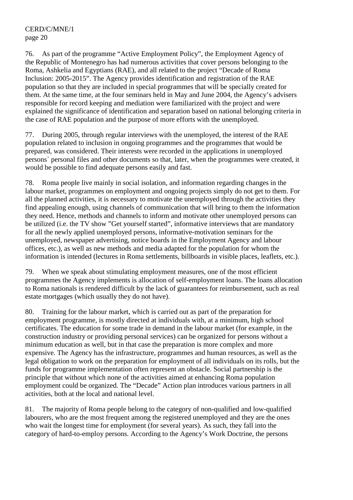76. As part of the programme "Active Employment Policy", the Employment Agency of the Republic of Montenegro has had numerous activities that cover persons belonging to the Roma, Ashkelia and Egyptians (RAE), and all related to the project "Decade of Roma Inclusion: 2005-2015". The Agency provides identification and registration of the RAE population so that they are included in special programmes that will be specially created for them. At the same time, at the four seminars held in May and June 2004, the Agency's advisers responsible for record keeping and mediation were familiarized with the project and were explained the significance of identification and separation based on national belonging criteria in the case of RAE population and the purpose of more efforts with the unemployed.

77. During 2005, through regular interviews with the unemployed, the interest of the RAE population related to inclusion in ongoing programmes and the programmes that would be prepared, was considered. Their interests were recorded in the applications in unemployed persons` personal files and other documents so that, later, when the programmes were created, it would be possible to find adequate persons easily and fast.

78. Roma people live mainly in social isolation, and information regarding changes in the labour market, programmes on employment and ongoing projects simply do not get to them. For all the planned activities, it is necessary to motivate the unemployed through the activities they find appealing enough, using channels of communication that will bring to them the information they need. Hence, methods and channels to inform and motivate other unemployed persons can be utilized (i.e. the TV show "Get yourself started", informative interviews that are mandatory for all the newly applied unemployed persons, informative-motivation seminars for the unemployed, newspaper advertising, notice boards in the Employment Agency and labour offices, etc.), as well as new methods and media adapted for the population for whom the information is intended (lectures in Roma settlements, billboards in visible places, leaflets, etc.).

79. When we speak about stimulating employment measures, one of the most efficient programmes the Agency implements is allocation of self-employment loans. The loans allocation to Roma nationals is rendered difficult by the lack of guarantees for reimbursement, such as real estate mortgages (which usually they do not have).

80. Training for the labour market, which is carried out as part of the preparation for employment programme, is mostly directed at individuals with, at a minimum, high school certificates. The education for some trade in demand in the labour market (for example, in the construction industry or providing personal services) can be organized for persons without a minimum education as well, but in that case the preparation is more complex and more expensive. The Agency has the infrastructure, programmes and human resources, as well as the legal obligation to work on the preparation for employment of all individuals on its rolls, but the funds for programme implementation often represent an obstacle. Social partnership is the principle that without which none of the activities aimed at enhancing Roma population employment could be organized. The "Decade" Action plan introduces various partners in all activities, both at the local and national level.

81. The majority of Roma people belong to the category of non-qualified and low-qualified labourers, who are the most frequent among the registered unemployed and they are the ones who wait the longest time for employment (for several years). As such, they fall into the category of hard-to-employ persons. According to the Agency's Work Doctrine, the persons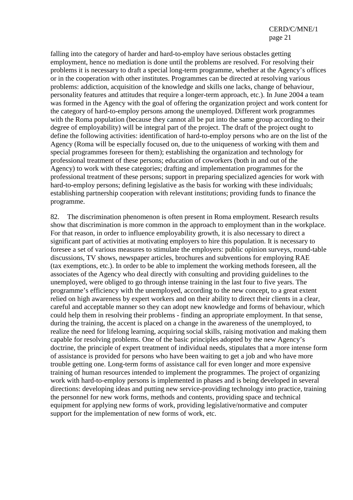falling into the category of harder and hard-to-employ have serious obstacles getting employment, hence no mediation is done until the problems are resolved. For resolving their problems it is necessary to draft a special long-term programme, whether at the Agency's offices or in the cooperation with other institutes. Programmes can be directed at resolving various problems: addiction, acquisition of the knowledge and skills one lacks, change of behaviour, personality features and attitudes that require a longer-term approach, etc.). In June 2004 a team was formed in the Agency with the goal of offering the organization project and work content for the category of hard-to-employ persons among the unemployed. Different work programmes with the Roma population (because they cannot all be put into the same group according to their degree of employability) will be integral part of the project. The draft of the project ought to define the following activities: identification of hard-to-employ persons who are on the list of the Agency (Roma will be especially focused on, due to the uniqueness of working with them and special programmes foreseen for them); establishing the organization and technology for professional treatment of these persons; education of coworkers (both in and out of the Agency) to work with these categories; drafting and implementation programmes for the professional treatment of these persons; support in preparing specialized agencies for work with hard-to-employ persons; defining legislative as the basis for working with these individuals; establishing partnership cooperation with relevant institutions; providing funds to finance the programme.

82. The discrimination phenomenon is often present in Roma employment. Research results show that discrimination is more common in the approach to employment than in the workplace. For that reason, in order to influence employability growth, it is also necessary to direct a significant part of activities at motivating employers to hire this population. It is necessary to foresee a set of various measures to stimulate the employers: public opinion surveys, round-table discussions, TV shows, newspaper articles, brochures and subventions for employing RAE (tax exemptions, etc.). In order to be able to implement the working methods foreseen, all the associates of the Agency who deal directly with consulting and providing guidelines to the unemployed, were obliged to go through intense training in the last four to five years. The programme's efficiency with the unemployed, according to the new concept, to a great extent relied on high awareness by expert workers and on their ability to direct their clients in a clear, careful and acceptable manner so they can adopt new knowledge and forms of behaviour, which could help them in resolving their problems - finding an appropriate employment. In that sense, during the training, the accent is placed on a change in the awareness of the unemployed, to realize the need for lifelong learning, acquiring social skills, raising motivation and making them capable for resolving problems. One of the basic principles adopted by the new Agency's doctrine, the principle of expert treatment of individual needs, stipulates that a more intense form of assistance is provided for persons who have been waiting to get a job and who have more trouble getting one. Long-term forms of assistance call for even longer and more expensive training of human resources intended to implement the programmes. The project of organizing work with hard-to-employ persons is implemented in phases and is being developed in several directions: developing ideas and putting new service-providing technology into practice, training the personnel for new work forms, methods and contents, providing space and technical equipment for applying new forms of work, providing legislative/normative and computer support for the implementation of new forms of work, etc.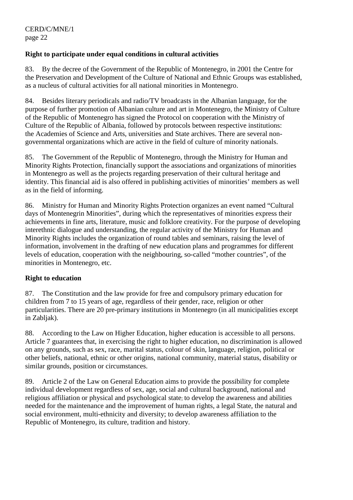## **Right to participate under equal conditions in cultural activities**

83. By the decree of the Government of the Republic of Montenegro, in 2001 the Centre for the Preservation and Development of the Culture of National and Ethnic Groups was established, as a nucleus of cultural activities for all national minorities in Montenegro.

84. Besides literary periodicals and radio/TV broadcasts in the Albanian language, for the purpose of further promotion of Albanian culture and art in Montenegro, the Ministry of Culture of the Republic of Montenegro has signed the Protocol on cooperation with the Ministry of Culture of the Republic of Albania, followed by protocols between respective institutions: the Academies of Science and Arts, universities and State archives. There are several nongovernmental organizations which are active in the field of culture of minority nationals.

85. The Government of the Republic of Montenegro, through the Ministry for Human and Minority Rights Protection, financially support the associations and organizations of minorities in Montenegro as well as the projects regarding preservation of their cultural heritage and identity. This financial aid is also offered in publishing activities of minorities' members as well as in the field of informing.

86. Ministry for Human and Minority Rights Protection organizes an event named "Cultural days of Montenegrin Minorities", during which the representatives of minorities express their achievements in fine arts, literature, music and folklore creativity. For the purpose of developing interethnic dialogue and understanding, the regular activity of the Ministry for Human and Minority Rights includes the organization of round tables and seminars, raising the level of information, involvement in the drafting of new education plans and programmes for different levels of education, cooperation with the neighbouring, so-called "mother countries", of the minorities in Montenegro, etc.

#### **Right to education**

87. The Constitution and the law provide for free and compulsory primary education for children from 7 to 15 years of age, regardless of their gender, race, religion or other particularities. There are 20 pre-primary institutions in Montenegro (in all municipalities except in Zabljak).

88. According to the Law on Higher Education, higher education is accessible to all persons. Article 7 guarantees that, in exercising the right to higher education, no discrimination is allowed on any grounds, such as sex, race, marital status, colour of skin, language, religion, political or other beliefs, national, ethnic or other origins, national community, material status, disability or similar grounds, position or circumstances.

89. Article 2 of the Law on General Education aims to provide the possibility for complete individual development regardless of sex, age, social and cultural background, national and religious affiliation or physical and psychological state; to develop the awareness and abilities needed for the maintenance and the improvement of human rights, a legal State, the natural and social environment, multi-ethnicity and diversity; to develop awareness affiliation to the Republic of Montenegro, its culture, tradition and history.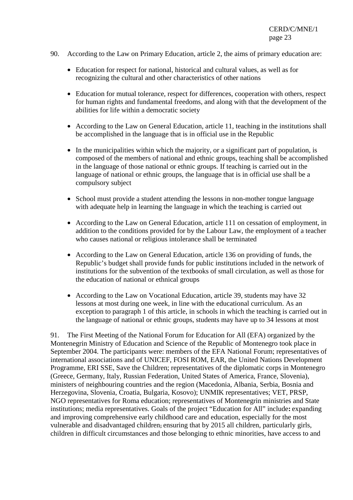- 90. According to the Law on Primary Education, article 2, the aims of primary education are:
	- Education for respect for national, historical and cultural values, as well as for recognizing the cultural and other characteristics of other nations
	- Education for mutual tolerance, respect for differences, cooperation with others, respect for human rights and fundamental freedoms, and along with that the development of the abilities for life within a democratic society
	- According to the Law on General Education, article 11, teaching in the institutions shall be accomplished in the language that is in official use in the Republic
	- In the municipalities within which the majority, or a significant part of population, is composed of the members of national and ethnic groups, teaching shall be accomplished in the language of those national or ethnic groups. If teaching is carried out in the language of national or ethnic groups, the language that is in official use shall be a compulsory subject
	- School must provide a student attending the lessons in non-mother tongue language with adequate help in learning the language in which the teaching is carried out
	- According to the Law on General Education, article 111 on cessation of employment, in addition to the conditions provided for by the Labour Law, the employment of a teacher who causes national or religious intolerance shall be terminated
	- According to the Law on General Education, article 136 on providing of funds, the Republic's budget shall provide funds for public institutions included in the network of institutions for the subvention of the textbooks of small circulation, as well as those for the education of national or ethnical groups
	- According to the Law on Vocational Education, article 39, students may have 32 lessons at most during one week, in line with the educational curriculum. As an exception to paragraph 1 of this article, in schools in which the teaching is carried out in the language of national or ethnic groups, students may have up to 34 lessons at most

91. The First Meeting of the National Forum for Education for All (EFA) organized by the Montenegrin Ministry of Education and Science of the Republic of Montenegro took place in September 2004. The participants were: members of the EFA National Forum; representatives of international associations and of UNICEF, FOSI ROM, EAR, the United Nations Development Programme, ERI SSE, Save the Children; representatives of the diplomatic corps in Montenegro (Greece, Germany, Italy, Russian Federation, United States of America, France, Slovenia), ministers of neighbouring countries and the region (Macedonia, Albania, Serbia, Bosnia and Herzegovina, Slovenia, Croatia, Bulgaria, Kosovo); UNMIK representatives; VET, PRSP, NGO representatives for Roma education; representatives of Montenegrin ministries and State institutions; media representatives. Goals of the project "Education for All" include**:** expanding and improving comprehensive early childhood care and education, especially for the most vulnerable and disadvantaged children**;** ensuring that by 2015 all children, particularly girls, children in difficult circumstances and those belonging to ethnic minorities, have access to and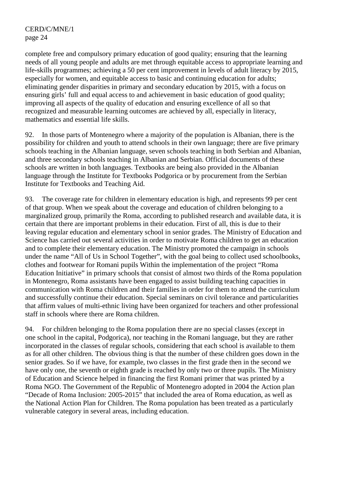complete free and compulsory primary education of good quality; ensuring that the learning needs of all young people and adults are met through equitable access to appropriate learning and life-skills programmes; achieving a 50 per cent improvement in levels of adult literacy by 2015, especially for women, and equitable access to basic and continuing education for adults; eliminating gender disparities in primary and secondary education by 2015, with a focus on ensuring girls' full and equal access to and achievement in basic education of good quality; improving all aspects of the quality of education and ensuring excellence of all so that recognized and measurable learning outcomes are achieved by all, especially in literacy, mathematics and essential life skills.

92. In those parts of Montenegro where a majority of the population is Albanian, there is the possibility for children and youth to attend schools in their own language; there are five primary schools teaching in the Albanian language, seven schools teaching in both Serbian and Albanian, and three secondary schools teaching in Albanian and Serbian. Official documents of these schools are written in both languages. Textbooks are being also provided in the Albanian language through the Institute for Textbooks Podgorica or by procurement from the Serbian Institute for Textbooks and Teaching Aid.

93. The coverage rate for children in elementary education is high, and represents 99 per cent of that group. When we speak about the coverage and education of children belonging to a marginalized group, primarily the Roma, according to published research and available data, it is certain that there are important problems in their education. First of all, this is due to their leaving regular education and elementary school in senior grades. The Ministry of Education and Science has carried out several activities in order to motivate Roma children to get an education and to complete their elementary education. The Ministry promoted the campaign in schools under the name "All of Us in School Together", with the goal being to collect used schoolbooks, clothes and footwear for Romani pupils Within the implementation of the project "Roma Education Initiative" in primary schools that consist of almost two thirds of the Roma population in Montenegro, Roma assistants have been engaged to assist building teaching capacities in communication with Roma children and their families in order for them to attend the curriculum and successfully continue their education. Special seminars on civil tolerance and particularities that affirm values of multi-ethnic living have been organized for teachers and other professional staff in schools where there are Roma children.

94. For children belonging to the Roma population there are no special classes (except in one school in the capital, Podgorica), nor teaching in the Romani language, but they are rather incorporated in the classes of regular schools, considering that each school is available to them as for all other children. The obvious thing is that the number of these children goes down in the senior grades. So if we have, for example, two classes in the first grade then in the second we have only one, the seventh or eighth grade is reached by only two or three pupils. The Ministry of Education and Science helped in financing the first Romani primer that was printed by a Roma NGO. The Government of the Republic of Montenegro adopted in 2004 the Action plan "Decade of Roma Inclusion: 2005-2015" that included the area of Roma education, as well as the National Action Plan for Children. The Roma population has been treated as a particularly vulnerable category in several areas, including education.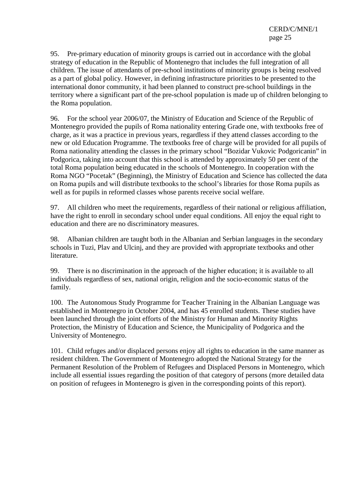95. Pre-primary education of minority groups is carried out in accordance with the global strategy of education in the Republic of Montenegro that includes the full integration of all children. The issue of attendants of pre-school institutions of minority groups is being resolved as a part of global policy. However, in defining infrastructure priorities to be presented to the international donor community, it had been planned to construct pre-school buildings in the territory where a significant part of the pre-school population is made up of children belonging to the Roma population.

96. For the school year 2006/07, the Ministry of Education and Science of the Republic of Montenegro provided the pupils of Roma nationality entering Grade one, with textbooks free of charge, as it was a practice in previous years, regardless if they attend classes according to the new or old Education Programme. The textbooks free of charge will be provided for all pupils of Roma nationality attending the classes in the primary school "Bozidar Vukovic Podgoricanin" in Podgorica, taking into account that this school is attended by approximately 50 per cent of the total Roma population being educated in the schools of Montenegro. In cooperation with the Roma NGO "Pocetak" (Beginning), the Ministry of Education and Science has collected the data on Roma pupils and will distribute textbooks to the school's libraries for those Roma pupils as well as for pupils in reformed classes whose parents receive social welfare.

97. All children who meet the requirements, regardless of their national or religious affiliation, have the right to enroll in secondary school under equal conditions. All enjoy the equal right to education and there are no discriminatory measures.

98. Albanian children are taught both in the Albanian and Serbian languages in the secondary schools in Tuzi, Plav and Ulcinj, and they are provided with appropriate textbooks and other literature.

99. There is no discrimination in the approach of the higher education; it is available to all individuals regardless of sex, national origin, religion and the socio-economic status of the family.

100. The Autonomous Study Programme for Teacher Training in the Albanian Language was established in Montenegro in October 2004, and has 45 enrolled students. These studies have been launched through the joint efforts of the Ministry for Human and Minority Rights Protection, the Ministry of Education and Science, the Municipality of Podgorica and the University of Montenegro.

101. Child refuges and/or displaced persons enjoy all rights to education in the same manner as resident children. The Government of Montenegro adopted the National Strategy for the Permanent Resolution of the Problem of Refugees and Displaced Persons in Montenegro, which include all essential issues regarding the position of that category of persons (more detailed data on position of refugees in Montenegro is given in the corresponding points of this report).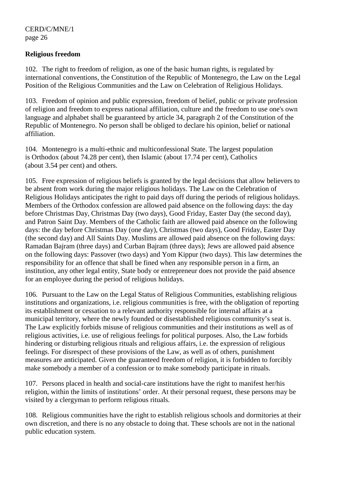#### **Religious freedom**

102. The right to freedom of religion, as one of the basic human rights, is regulated by international conventions, the Constitution of the Republic of Montenegro, the Law on the Legal Position of the Religious Communities and the Law on Celebration of Religious Holidays.

103. Freedom of opinion and public expression, freedom of belief, public or private profession of religion and freedom to express national affiliation, culture and the freedom to use one's own language and alphabet shall be guaranteed by article 34, paragraph 2 of the Constitution of the Republic of Montenegro. No person shall be obliged to declare his opinion, belief or national affiliation.

104. Montenegro is a multi-ethnic and multiconfessional State. The largest population is Orthodox (about 74.28 per cent), then Islamic (about 17.74 per cent), Catholics (about 3.54 per cent) and others.

105. Free expression of religious beliefs is granted by the legal decisions that allow believers to be absent from work during the major religious holidays. The Law on the Celebration of Religious Holidays anticipates the right to paid days off during the periods of religious holidays. Members of the Orthodox confession are allowed paid absence on the following days: the day before Christmas Day, Christmas Day (two days), Good Friday, Easter Day (the second day), and Patron Saint Day. Members of the Catholic faith are allowed paid absence on the following days: the day before Christmas Day (one day), Christmas (two days), Good Friday, Easter Day (the second day) and All Saints Day. Muslims are allowed paid absence on the following days: Ramadan Bajram (three days) and Curban Bajram (three days); Jews are allowed paid absence on the following days: Passover (two days) and Yom Kippur (two days). This law determines the responsibility for an offence that shall be fined when any responsible person in a firm, an institution, any other legal entity, State body or entrepreneur does not provide the paid absence for an employee during the period of religious holidays.

106. Pursuant to the Law on the Legal Status of Religious Communities, establishing religious institutions and organizations, i.e. religious communities is free, with the obligation of reporting its establishment or cessation to a relevant authority responsible for internal affairs at a municipal territory, where the newly founded or disestablished religious community's seat is. The Law explicitly forbids misuse of religious communities and their institutions as well as of religious activities, i.e. use of religious feelings for political purposes. Also, the Law forbids hindering or disturbing religious rituals and religious affairs, i.e. the expression of religious feelings. For disrespect of these provisions of the Law, as well as of others, punishment measures are anticipated. Given the guaranteed freedom of religion, it is forbidden to forcibly make somebody a member of a confession or to make somebody participate in rituals.

107. Persons placed in health and social-care institutions have the right to manifest her/his religion, within the limits of institutions' order. At their personal request, these persons may be visited by a clergyman to perform religious rituals.

108. Religious communities have the right to establish religious schools and dormitories at their own discretion, and there is no any obstacle to doing that. These schools are not in the national public education system.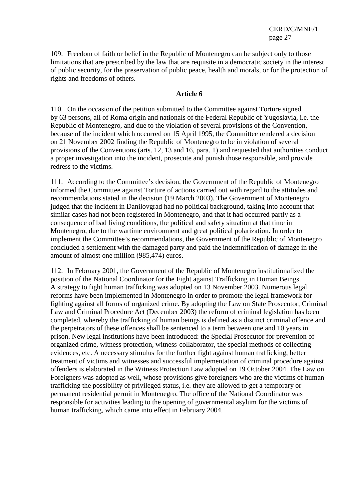109. Freedom of faith or belief in the Republic of Montenegro can be subject only to those limitations that are prescribed by the law that are requisite in a democratic society in the interest of public security, for the preservation of public peace, health and morals, or for the protection of rights and freedoms of others.

#### **Article 6**

110. On the occasion of the petition submitted to the Committee against Torture signed by 63 persons, all of Roma origin and nationals of the Federal Republic of Yugoslavia, i.e. the Republic of Montenegro, and due to the violation of several provisions of the Convention, because of the incident which occurred on 15 April 1995, the Committee rendered a decision on 21 November 2002 finding the Republic of Montenegro to be in violation of several provisions of the Conventions (arts. 12, 13 and 16, para. 1) and requested that authorities conduct a proper investigation into the incident, prosecute and punish those responsible, and provide redress to the victims.

111. According to the Committee's decision, the Government of the Republic of Montenegro informed the Committee against Torture of actions carried out with regard to the attitudes and recommendations stated in the decision (19 March 2003). The Government of Montenegro judged that the incident in Danilovgrad had no political background, taking into account that similar cases had not been registered in Montenegro, and that it had occurred partly as a consequence of bad living conditions, the political and safety situation at that time in Montenegro, due to the wartime environment and great political polarization. In order to implement the Committee's recommendations, the Government of the Republic of Montenegro concluded a settlement with the damaged party and paid the indemnification of damage in the amount of almost one million (985,474) euros.

112. In February 2001, the Government of the Republic of Montenegro institutionalized the position of the National Coordinator for the Fight against Trafficking in Human Beings. A strategy to fight human trafficking was adopted on 13 November 2003. Numerous legal reforms have been implemented in Montenegro in order to promote the legal framework for fighting against all forms of organized crime. By adopting the Law on State Prosecutor, Criminal Law and Criminal Procedure Act (December 2003) the reform of criminal legislation has been completed, whereby the trafficking of human beings is defined as a distinct criminal offence and the perpetrators of these offences shall be sentenced to a term between one and 10 years in prison. New legal institutions have been introduced: the Special Prosecutor for prevention of organized crime, witness protection, witness-collaborator, the special methods of collecting evidences, etc. A necessary stimulus for the further fight against human trafficking, better treatment of victims and witnesses and successful implementation of criminal procedure against offenders is elaborated in the Witness Protection Law adopted on 19 October 2004. The Law on Foreigners was adopted as well, whose provisions give foreigners who are the victims of human trafficking the possibility of privileged status, i.e. they are allowed to get a temporary or permanent residential permit in Montenegro. The office of the National Coordinator was responsible for activities leading to the opening of governmental asylum for the victims of human trafficking, which came into effect in February 2004.